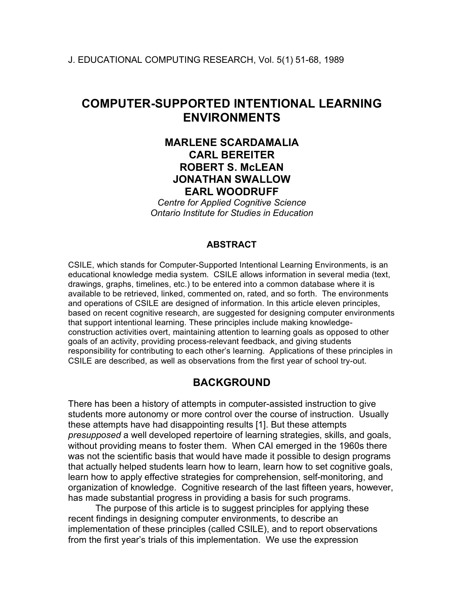# **COMPUTER-SUPPORTED INTENTIONAL LEARNING ENVIRONMENTS**

# **MARLENE SCARDAMALIA CARL BEREITER ROBERT S. McLEAN JONATHAN SWALLOW EARL WOODRUFF**

*Centre for Applied Cognitive Science Ontario Institute for Studies in Education*

### **ABSTRACT**

CSILE, which stands for Computer-Supported Intentional Learning Environments, is an educational knowledge media system. CSILE allows information in several media (text, drawings, graphs, timelines, etc.) to be entered into a common database where it is available to be retrieved, linked, commented on, rated, and so forth. The environments and operations of CSILE are designed of information. In this article eleven principles, based on recent cognitive research, are suggested for designing computer environments that support intentional learning. These principles include making knowledgeconstruction activities overt, maintaining attention to learning goals as opposed to other goals of an activity, providing process-relevant feedback, and giving students responsibility for contributing to each other's learning. Applications of these principles in CSILE are described, as well as observations from the first year of school try-out.

# **BACKGROUND**

There has been a history of attempts in computer-assisted instruction to give students more autonomy or more control over the course of instruction. Usually these attempts have had disappointing results [1]. But these attempts *presupposed* a well developed repertoire of learning strategies, skills, and goals, without providing means to foster them. When CAI emerged in the 1960s there was not the scientific basis that would have made it possible to design programs that actually helped students learn how to learn, learn how to set cognitive goals, learn how to apply effective strategies for comprehension, self-monitoring, and organization of knowledge. Cognitive research of the last fifteen years, however, has made substantial progress in providing a basis for such programs.

The purpose of this article is to suggest principles for applying these recent findings in designing computer environments, to describe an implementation of these principles (called CSILE), and to report observations from the first year's trials of this implementation. We use the expression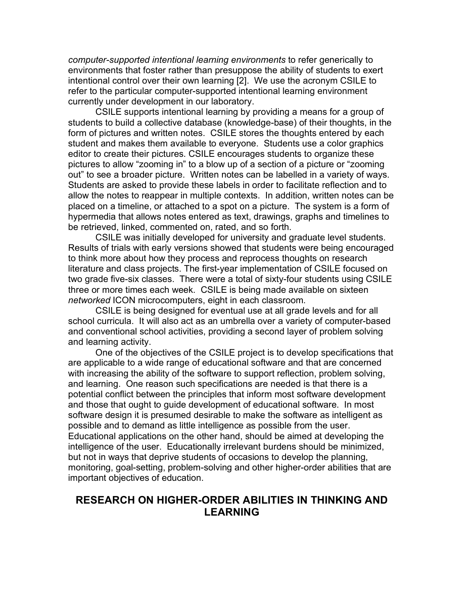*computer-supported intentional learning environments* to refer generically to environments that foster rather than presuppose the ability of students to exert intentional control over their own learning [2]. We use the acronym CSILE to refer to the particular computer-supported intentional learning environment currently under development in our laboratory.

CSILE supports intentional learning by providing a means for a group of students to build a collective database (knowledge-base) of their thoughts, in the form of pictures and written notes. CSILE stores the thoughts entered by each student and makes them available to everyone. Students use a color graphics editor to create their pictures. CSILE encourages students to organize these pictures to allow "zooming in" to a blow up of a section of a picture or "zooming out" to see a broader picture. Written notes can be labelled in a variety of ways. Students are asked to provide these labels in order to facilitate reflection and to allow the notes to reappear in multiple contexts. In addition, written notes can be placed on a timeline, or attached to a spot on a picture. The system is a form of hypermedia that allows notes entered as text, drawings, graphs and timelines to be retrieved, linked, commented on, rated, and so forth.

CSILE was initially developed for university and graduate level students. Results of trials with early versions showed that students were being encouraged to think more about how they process and reprocess thoughts on research literature and class projects. The first-year implementation of CSILE focused on two grade five-six classes. There were a total of sixty-four students using CSILE three or more times each week. CSILE is being made available on sixteen *networked* ICON microcomputers, eight in each classroom.

CSILE is being designed for eventual use at all grade levels and for all school curricula. It will also act as an umbrella over a variety of computer-based and conventional school activities, providing a second layer of problem solving and learning activity.

One of the objectives of the CSILE project is to develop specifications that are applicable to a wide range of educational software and that are concerned with increasing the ability of the software to support reflection, problem solving, and learning. One reason such specifications are needed is that there is a potential conflict between the principles that inform most software development and those that ought to guide development of educational software. In most software design it is presumed desirable to make the software as intelligent as possible and to demand as little intelligence as possible from the user. Educational applications on the other hand, should be aimed at developing the intelligence of the user. Educationally irrelevant burdens should be minimized, but not in ways that deprive students of occasions to develop the planning, monitoring, goal-setting, problem-solving and other higher-order abilities that are important objectives of education.

### **RESEARCH ON HIGHER-ORDER ABILITIES IN THINKING AND LEARNING**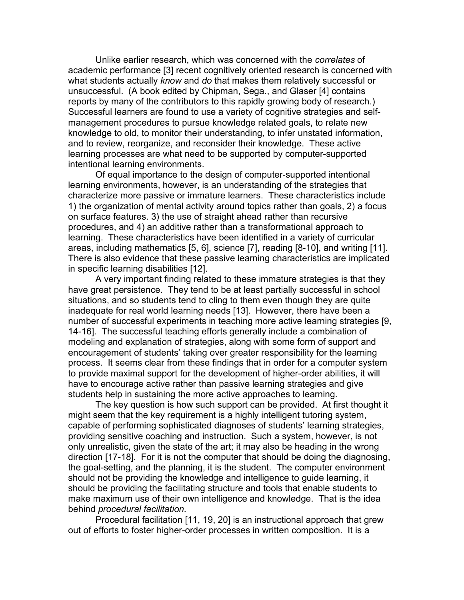Unlike earlier research, which was concerned with the *correlates* of academic performance [3] recent cognitively oriented research is concerned with what students actually *know* and *do* that makes them relatively successful or unsuccessful. (A book edited by Chipman, Sega., and Glaser [4] contains reports by many of the contributors to this rapidly growing body of research.) Successful learners are found to use a variety of cognitive strategies and selfmanagement procedures to pursue knowledge related goals, to relate new knowledge to old, to monitor their understanding, to infer unstated information, and to review, reorganize, and reconsider their knowledge. These active learning processes are what need to be supported by computer-supported intentional learning environments.

Of equal importance to the design of computer-supported intentional learning environments, however, is an understanding of the strategies that characterize more passive or immature learners. These characteristics include 1) the organization of mental activity around topics rather than goals, 2) a focus on surface features. 3) the use of straight ahead rather than recursive procedures, and 4) an additive rather than a transformational approach to learning. These characteristics have been identified in a variety of curricular areas, including mathematics [5, 6], science [7], reading [8-10], and writing [11]. There is also evidence that these passive learning characteristics are implicated in specific learning disabilities [12].

A very important finding related to these immature strategies is that they have great persistence. They tend to be at least partially successful in school situations, and so students tend to cling to them even though they are quite inadequate for real world learning needs [13]. However, there have been a number of successful experiments in teaching more active learning strategies [9, 14-16]. The successful teaching efforts generally include a combination of modeling and explanation of strategies, along with some form of support and encouragement of students' taking over greater responsibility for the learning process. It seems clear from these findings that in order for a computer system to provide maximal support for the development of higher-order abilities, it will have to encourage active rather than passive learning strategies and give students help in sustaining the more active approaches to learning.

The key question is how such support can be provided. At first thought it might seem that the key requirement is a highly intelligent tutoring system, capable of performing sophisticated diagnoses of students' learning strategies, providing sensitive coaching and instruction. Such a system, however, is not only unrealistic, given the state of the art; it may also be heading in the wrong direction [17-18]. For it is not the computer that should be doing the diagnosing, the goal-setting, and the planning, it is the student. The computer environment should not be providing the knowledge and intelligence to guide learning, it should be providing the facilitating structure and tools that enable students to make maximum use of their own intelligence and knowledge. That is the idea behind *procedural facilitation.*

Procedural facilitation [11, 19, 20] is an instructional approach that grew out of efforts to foster higher-order processes in written composition. It is a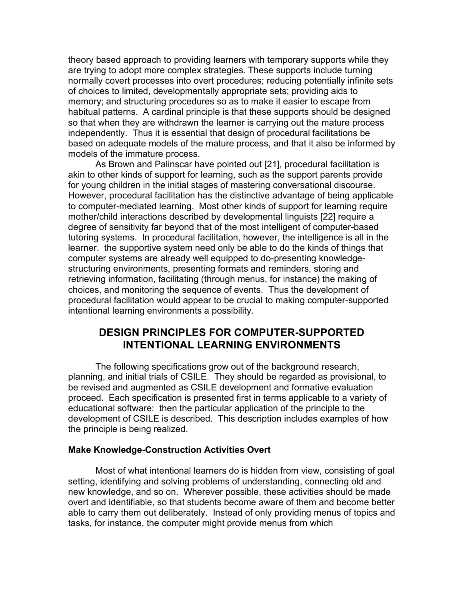theory based approach to providing learners with temporary supports while they are trying to adopt more complex strategies. These supports include turning normally covert processes into overt procedures; reducing potentially infinite sets of choices to limited, developmentally appropriate sets; providing aids to memory; and structuring procedures so as to make it easier to escape from habitual patterns. A cardinal principle is that these supports should be designed so that when they are withdrawn the learner is carrying out the mature process independently. Thus it is essential that design of procedural facilitations be based on adequate models of the mature process, and that it also be informed by models of the immature process.

As Brown and Palinscar have pointed out [21], procedural facilitation is akin to other kinds of support for learning, such as the support parents provide for young children in the initial stages of mastering conversational discourse. However, procedural facilitation has the distinctive advantage of being applicable to computer-mediated learning. Most other kinds of support for learning require mother/child interactions described by developmental linguists [22] require a degree of sensitivity far beyond that of the most intelligent of computer-based tutoring systems. In procedural facilitation, however, the intelligence is all in the learner. the supportive system need only be able to do the kinds of things that computer systems are already well equipped to do-presenting knowledgestructuring environments, presenting formats and reminders, storing and retrieving information, facilitating (through menus, for instance) the making of choices, and monitoring the sequence of events. Thus the development of procedural facilitation would appear to be crucial to making computer-supported intentional learning environments a possibility.

### **DESIGN PRINCIPLES FOR COMPUTER-SUPPORTED INTENTIONAL LEARNING ENVIRONMENTS**

The following specifications grow out of the background research, planning, and initial trials of CSILE. They should be regarded as provisional, to be revised and augmented as CSILE development and formative evaluation proceed. Each specification is presented first in terms applicable to a variety of educational software: then the particular application of the principle to the development of CSILE is described. This description includes examples of how the principle is being realized.

#### **Make Knowledge-Construction Activities Overt**

Most of what intentional learners do is hidden from view, consisting of goal setting, identifying and solving problems of understanding, connecting old and new knowledge, and so on. Wherever possible, these activities should be made overt and identifiable, so that students become aware of them and become better able to carry them out deliberately. Instead of only providing menus of topics and tasks, for instance, the computer might provide menus from which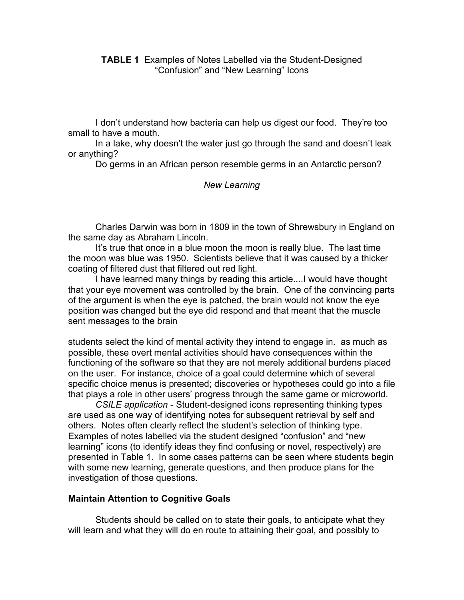I don't understand how bacteria can help us digest our food. They're too small to have a mouth.

In a lake, why doesn't the water just go through the sand and doesn't leak or anything?

Do germs in an African person resemble germs in an Antarctic person?

#### *New Learning*

Charles Darwin was born in 1809 in the town of Shrewsbury in England on the same day as Abraham Lincoln.

It's true that once in a blue moon the moon is really blue. The last time the moon was blue was 1950. Scientists believe that it was caused by a thicker coating of filtered dust that filtered out red light.

I have learned many things by reading this article....I would have thought that your eye movement was controlled by the brain. One of the convincing parts of the argument is when the eye is patched, the brain would not know the eye position was changed but the eye did respond and that meant that the muscle sent messages to the brain

students select the kind of mental activity they intend to engage in. as much as possible, these overt mental activities should have consequences within the functioning of the software so that they are not merely additional burdens placed on the user. For instance, choice of a goal could determine which of several specific choice menus is presented; discoveries or hypotheses could go into a file that plays a role in other users' progress through the same game or microworld.

*CSILE application* - Student-designed icons representing thinking types are used as one way of identifying notes for subsequent retrieval by self and others. Notes often clearly reflect the student's selection of thinking type. Examples of notes labelled via the student designed "confusion" and "new learning" icons (to identify ideas they find confusing or novel, respectively) are presented in Table 1. In some cases patterns can be seen where students begin with some new learning, generate questions, and then produce plans for the investigation of those questions.

#### **Maintain Attention to Cognitive Goals**

Students should be called on to state their goals, to anticipate what they will learn and what they will do en route to attaining their goal, and possibly to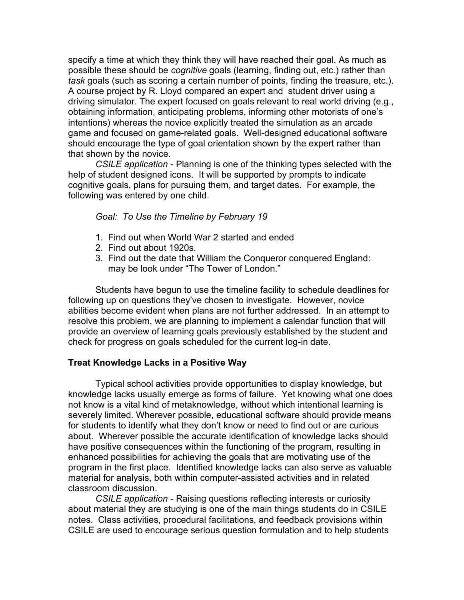specify a time at which they think they will have reached their goal. As much as possible these should be *cognitive* goals (learning, finding out, etc.) rather than *task* goals (such as scoring a certain number of points, finding the treasure, etc.). A course project by R. Lloyd compared an expert and student driver using a driving simulator. The expert focused on goals relevant to real world driving (e.g., obtaining information, anticipating problems, informing other motorists of one's intentions) whereas the novice explicitly treated the simulation as an arcade game and focused on game-related goals. Well-designed educational software should encourage the type of goal orientation shown by the expert rather than that shown by the novice.

*CSILE application* - Planning is one of the thinking types selected with the help of student designed icons. It will be supported by prompts to indicate cognitive goals, plans for pursuing them, and target dates. For example, the following was entered by one child.

#### *Goal: To Use the Timeline by February 19*

- 1. Find out when World War 2 started and ended
- 2. Find out about 1920s.
- 3. Find out the date that William the Conqueror conquered England: may be look under "The Tower of London."

Students have begun to use the timeline facility to schedule deadlines for following up on questions they've chosen to investigate. However, novice abilities become evident when plans are not further addressed. In an attempt to resolve this problem, we are planning to implement a calendar function that will provide an overview of learning goals previously established by the student and check for progress on goals scheduled for the current log-in date.

#### **Treat Knowledge Lacks in a Positive Way**

Typical school activities provide opportunities to display knowledge, but knowledge lacks usually emerge as forms of failure. Yet knowing what one does not know is a vital kind of metaknowledge, without which intentional learning is severely limited. Wherever possible, educational software should provide means for students to identify what they don't know or need to find out or are curious about. Wherever possible the accurate identification of knowledge lacks should have positive consequences within the functioning of the program, resulting in enhanced possibilities for achieving the goals that are motivating use of the program in the first place. Identified knowledge lacks can also serve as valuable material for analysis, both within computer-assisted activities and in related classroom discussion.

*CSILE application* - Raising questions reflecting interests or curiosity about material they are studying is one of the main things students do in CSILE notes. Class activities, procedural facilitations, and feedback provisions within CSILE are used to encourage serious question formulation and to help students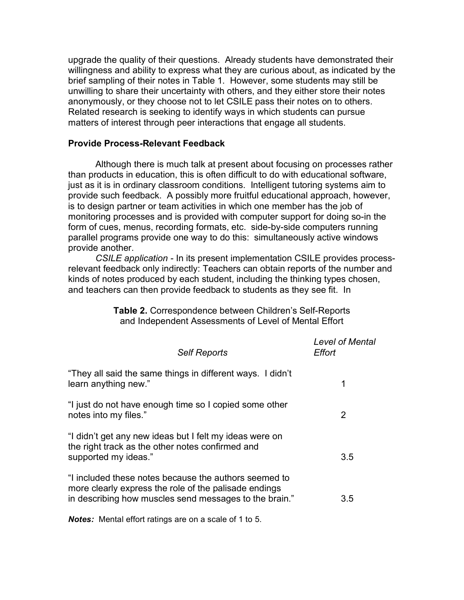upgrade the quality of their questions. Already students have demonstrated their willingness and ability to express what they are curious about, as indicated by the brief sampling of their notes in Table 1. However, some students may still be unwilling to share their uncertainty with others, and they either store their notes anonymously, or they choose not to let CSILE pass their notes on to others. Related research is seeking to identify ways in which students can pursue matters of interest through peer interactions that engage all students.

#### **Provide Process-Relevant Feedback**

Although there is much talk at present about focusing on processes rather than products in education, this is often difficult to do with educational software, just as it is in ordinary classroom conditions. Intelligent tutoring systems aim to provide such feedback. A possibly more fruitful educational approach, however, is to design partner or team activities in which one member has the job of monitoring processes and is provided with computer support for doing so-in the form of cues, menus, recording formats, etc. side-by-side computers running parallel programs provide one way to do this: simultaneously active windows provide another.

*CSILE application -* In its present implementation CSILE provides processrelevant feedback only indirectly: Teachers can obtain reports of the number and kinds of notes produced by each student, including the thinking types chosen, and teachers can then provide feedback to students as they see fit. In

> **Table 2.** Correspondence between Children's Self-Reports and Independent Assessments of Level of Mental Effort

| <b>Self Reports</b>                                                                                                                                                      | <b>Level of Mental</b><br>Effort |
|--------------------------------------------------------------------------------------------------------------------------------------------------------------------------|----------------------------------|
| "They all said the same things in different ways. I didn't<br>learn anything new."                                                                                       | 1                                |
| "I just do not have enough time so I copied some other<br>notes into my files."                                                                                          | 2                                |
| "I didn't get any new ideas but I felt my ideas were on<br>the right track as the other notes confirmed and<br>supported my ideas."                                      | 3.5                              |
| "I included these notes because the authors seemed to<br>more clearly express the role of the palisade endings<br>in describing how muscles send messages to the brain." | 3.5                              |

*Notes:* Mental effort ratings are on a scale of 1 to 5.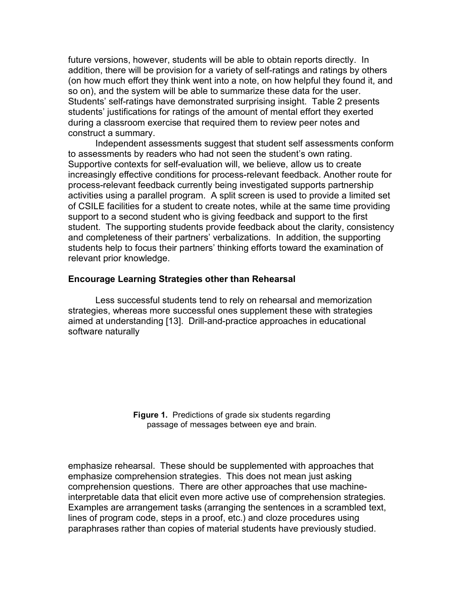future versions, however, students will be able to obtain reports directly. In addition, there will be provision for a variety of self-ratings and ratings by others (on how much effort they think went into a note, on how helpful they found it, and so on), and the system will be able to summarize these data for the user. Students' self-ratings have demonstrated surprising insight. Table 2 presents students' justifications for ratings of the amount of mental effort they exerted during a classroom exercise that required them to review peer notes and construct a summary.

Independent assessments suggest that student self assessments conform to assessments by readers who had not seen the student's own rating. Supportive contexts for self-evaluation will, we believe, allow us to create increasingly effective conditions for process-relevant feedback. Another route for process-relevant feedback currently being investigated supports partnership activities using a parallel program. A split screen is used to provide a limited set of CSILE facilities for a student to create notes, while at the same time providing support to a second student who is giving feedback and support to the first student. The supporting students provide feedback about the clarity, consistency and completeness of their partners' verbalizations. In addition, the supporting students help to focus their partners' thinking efforts toward the examination of relevant prior knowledge.

#### **Encourage Learning Strategies other than Rehearsal**

Less successful students tend to rely on rehearsal and memorization strategies, whereas more successful ones supplement these with strategies aimed at understanding [13]. Drill-and-practice approaches in educational software naturally

> **Figure 1.** Predictions of grade six students regarding passage of messages between eye and brain.

emphasize rehearsal. These should be supplemented with approaches that emphasize comprehension strategies. This does not mean just asking comprehension questions. There are other approaches that use machineinterpretable data that elicit even more active use of comprehension strategies. Examples are arrangement tasks (arranging the sentences in a scrambled text, lines of program code, steps in a proof, etc.) and cloze procedures using paraphrases rather than copies of material students have previously studied.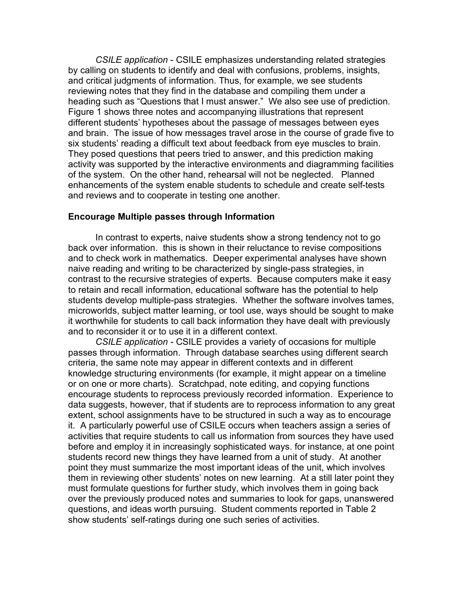*CSILE application* - CSILE emphasizes understanding related strategies by calling on students to identify and deal with confusions, problems, insights, and critical judgments of information. Thus, for example, we see students reviewing notes that they find in the database and compiling them under a heading such as "Questions that I must answer." We also see use of prediction. Figure 1 shows three notes and accompanying illustrations that represent different students' hypotheses about the passage of messages between eyes and brain. The issue of how messages travel arose in the course of grade five to six students' reading a difficult text about feedback from eye muscles to brain. They posed questions that peers tried to answer, and this prediction making activity was supported by the interactive environments and diagramming facilities of the system. On the other hand, rehearsal will not be neglected. Planned enhancements of the system enable students to schedule and create self-tests and reviews and to cooperate in testing one another.

#### **Encourage Multiple passes through Information**

In contrast to experts, naive students show a strong tendency not to go back over information. this is shown in their reluctance to revise compositions and to check work in mathematics. Deeper experimental analyses have shown naive reading and writing to be characterized by single-pass strategies, in contrast to the recursive strategies of experts. Because computers make it easy to retain and recall information, educational software has the potential to help students develop multiple-pass strategies. Whether the software involves tames, microworlds, subject matter learning, or tool use, ways should be sought to make it worthwhile for students to call back information they have dealt with previously and to reconsider it or to use it in a different context.

*CSILE application -* CSILE provides a variety of occasions for multiple passes through information. Through database searches using different search criteria, the same note may appear in different contexts and in different knowledge structuring environments (for example, it might appear on a timeline or on one or more charts). Scratchpad, note editing, and copying functions encourage students to reprocess previously recorded information. Experience to data suggests, however, that if students are to reprocess information to any great extent, school assignments have to be structured in such a way as to encourage it. A particularly powerful use of CSILE occurs when teachers assign a series of activities that require students to call us information from sources they have used before and employ it in increasingly sophisticated ways. for instance, at one point students record new things they have learned from a unit of study. At another point they must summarize the most important ideas of the unit, which involves them in reviewing other students' notes on new learning. At a still later point they must formulate questions for further study, which involves them in going back over the previously produced notes and summaries to look for gaps, unanswered questions, and ideas worth pursuing. Student comments reported in Table 2 show students' self-ratings during one such series of activities.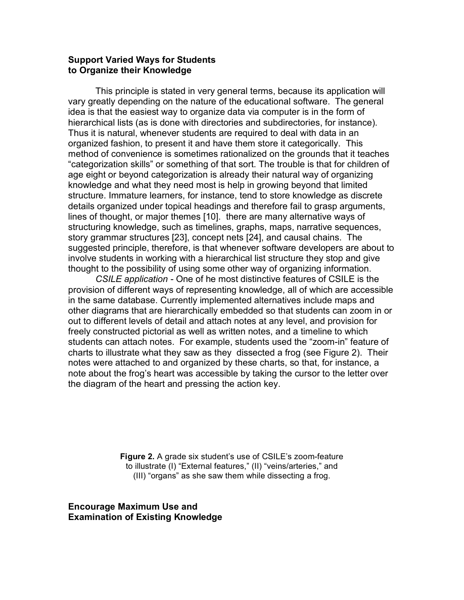#### **Support Varied Ways for Students to Organize their Knowledge**

This principle is stated in very general terms, because its application will vary greatly depending on the nature of the educational software. The general idea is that the easiest way to organize data via computer is in the form of hierarchical lists (as is done with directories and subdirectories, for instance). Thus it is natural, whenever students are required to deal with data in an organized fashion, to present it and have them store it categorically. This method of convenience is sometimes rationalized on the grounds that it teaches "categorization skills" or something of that sort. The trouble is that for children of age eight or beyond categorization is already their natural way of organizing knowledge and what they need most is help in growing beyond that limited structure. Immature learners, for instance, tend to store knowledge as discrete details organized under topical headings and therefore fail to grasp arguments, lines of thought, or major themes [10]. there are many alternative ways of structuring knowledge, such as timelines, graphs, maps, narrative sequences, story grammar structures [23], concept nets [24], and causal chains. The suggested principle, therefore, is that whenever software developers are about to involve students in working with a hierarchical list structure they stop and give thought to the possibility of using some other way of organizing information.

*CSILE application -* One of he most distinctive features of CSILE is the provision of different ways of representing knowledge, all of which are accessible in the same database. Currently implemented alternatives include maps and other diagrams that are hierarchically embedded so that students can zoom in or out to different levels of detail and attach notes at any level, and provision for freely constructed pictorial as well as written notes, and a timeline to which students can attach notes. For example, students used the "zoom-in" feature of charts to illustrate what they saw as they dissected a frog (see Figure 2). Their notes were attached to and organized by these charts, so that, for instance, a note about the frog's heart was accessible by taking the cursor to the letter over the diagram of the heart and pressing the action key.

> **Figure 2.** A grade six student's use of CSILE's zoom-feature to illustrate (I) "External features," (II) "veins/arteries," and (III) "organs" as she saw them while dissecting a frog.

**Encourage Maximum Use and Examination of Existing Knowledge**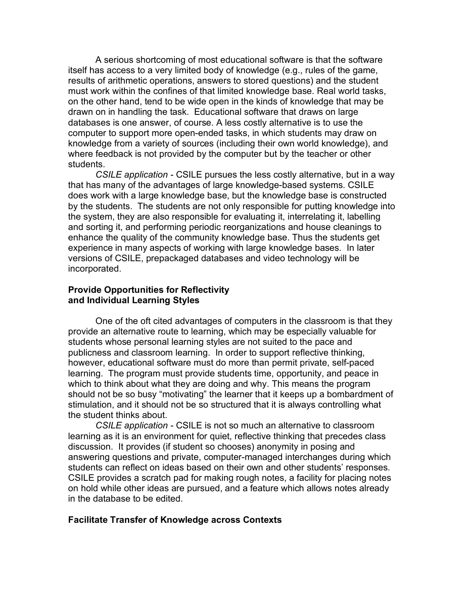A serious shortcoming of most educational software is that the software itself has access to a very limited body of knowledge (e.g., rules of the game, results of arithmetic operations, answers to stored questions) and the student must work within the confines of that limited knowledge base. Real world tasks, on the other hand, tend to be wide open in the kinds of knowledge that may be drawn on in handling the task. Educational software that draws on large databases is one answer, of course. A less costly alternative is to use the computer to support more open-ended tasks, in which students may draw on knowledge from a variety of sources (including their own world knowledge), and where feedback is not provided by the computer but by the teacher or other students.

*CSILE application -* CSILE pursues the less costly alternative, but in a way that has many of the advantages of large knowledge-based systems. CSILE does work with a large knowledge base, but the knowledge base is constructed by the students. The students are not only responsible for putting knowledge into the system, they are also responsible for evaluating it, interrelating it, labelling and sorting it, and performing periodic reorganizations and house cleanings to enhance the quality of the community knowledge base. Thus the students get experience in many aspects of working with large knowledge bases. In later versions of CSILE, prepackaged databases and video technology will be incorporated.

#### **Provide Opportunities for Reflectivity and Individual Learning Styles**

One of the oft cited advantages of computers in the classroom is that they provide an alternative route to learning, which may be especially valuable for students whose personal learning styles are not suited to the pace and publicness and classroom learning. In order to support reflective thinking, however, educational software must do more than permit private, self-paced learning. The program must provide students time, opportunity, and peace in which to think about what they are doing and why. This means the program should not be so busy "motivating" the learner that it keeps up a bombardment of stimulation, and it should not be so structured that it is always controlling what the student thinks about.

*CSILE application -* CSILE is not so much an alternative to classroom learning as it is an environment for quiet, reflective thinking that precedes class discussion. It provides (if student so chooses) anonymity in posing and answering questions and private, computer-managed interchanges during which students can reflect on ideas based on their own and other students' responses. CSILE provides a scratch pad for making rough notes, a facility for placing notes on hold while other ideas are pursued, and a feature which allows notes already in the database to be edited.

#### **Facilitate Transfer of Knowledge across Contexts**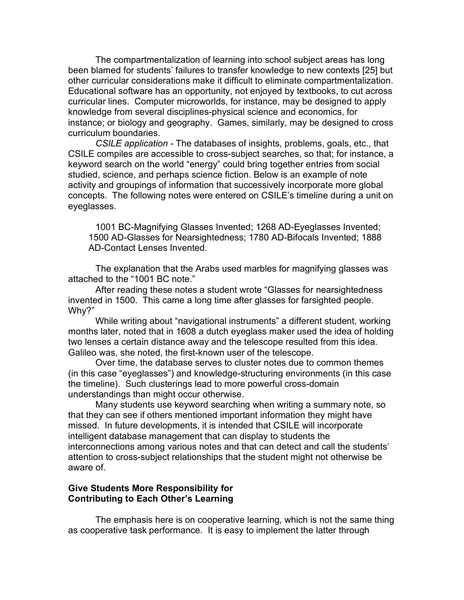The compartmentalization of learning into school subject areas has long been blamed for students' failures to transfer knowledge to new contexts [25] but other curricular considerations make it difficult to eliminate compartmentalization. Educational software has an opportunity, not enjoyed by textbooks, to cut across curricular lines. Computer microworlds, for instance, may be designed to apply knowledge from several disciplines-physical science and economics, for instance; or biology and geography. Games, similarly, may be designed to cross curriculum boundaries.

*CSILE application -* The databases of insights, problems, goals, etc., that CSILE compiles are accessible to cross-subject searches, so that; for instance, a keyword search on the world "energy" could bring together entries from social studied, science, and perhaps science fiction. Below is an example of note activity and groupings of information that successively incorporate more global concepts. The following notes were entered on CSILE's timeline during a unit on eyeglasses.

1001 BC-Magnifying Glasses Invented; 1268 AD-Eyeglasses Invented; 1500 AD-Glasses for Nearsightedness; 1780 AD-Bifocals Invented; 1888 AD-Contact Lenses Invented.

The explanation that the Arabs used marbles for magnifying glasses was attached to the "1001 BC note."

After reading these notes a student wrote "Glasses for nearsightedness invented in 1500. This came a long time after glasses for farsighted people. Why?"

While writing about "navigational instruments" a different student, working months later, noted that in 1608 a dutch eyeglass maker used the idea of holding two lenses a certain distance away and the telescope resulted from this idea. Galileo was, she noted, the first-known user of the telescope.

Over time, the database serves to cluster notes due to common themes (in this case "eyeglasses") and knowledge-structuring environments (in this case the timeline). Such clusterings lead to more powerful cross-domain understandings than might occur otherwise.

Many students use keyword searching when writing a summary note, so that they can see if others mentioned important information they might have missed. In future developments, it is intended that CSILE will incorporate intelligent database management that can display to students the interconnections among various notes and that can detect and call the students' attention to cross-subject relationships that the student might not otherwise be aware of.

#### **Give Students More Responsibility for Contributing to Each Other's Learning**

The emphasis here is on cooperative learning, which is not the same thing as cooperative task performance. It is easy to implement the latter through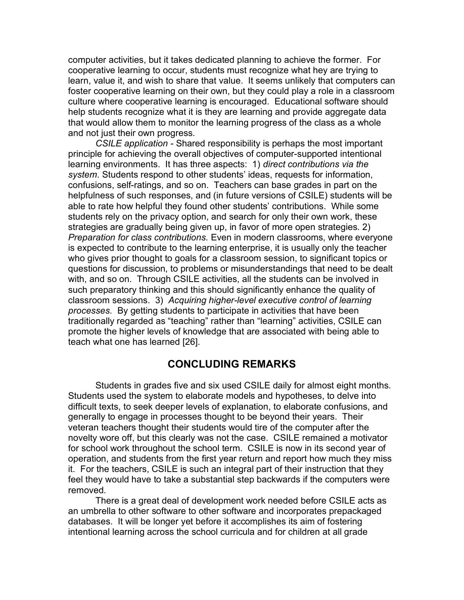computer activities, but it takes dedicated planning to achieve the former. For cooperative learning to occur, students must recognize what hey are trying to learn, value it, and wish to share that value. It seems unlikely that computers can foster cooperative learning on their own, but they could play a role in a classroom culture where cooperative learning is encouraged. Educational software should help students recognize what it is they are learning and provide aggregate data that would allow them to monitor the learning progress of the class as a whole and not just their own progress.

*CSILE application -* Shared responsibility is perhaps the most important principle for achieving the overall objectives of computer-supported intentional learning environments. It has three aspects: 1) *direct contributions via the system*. Students respond to other students' ideas, requests for information, confusions, self-ratings, and so on. Teachers can base grades in part on the helpfulness of such responses, and (in future versions of CSILE) students will be able to rate how helpful they found other students' contributions. While some students rely on the privacy option, and search for only their own work, these strategies are gradually being given up, in favor of more open strategies. 2) *Preparation for class contributions.* Even in modern classrooms, where everyone is expected to contribute to the learning enterprise, it is usually only the teacher who gives prior thought to goals for a classroom session, to significant topics or questions for discussion, to problems or misunderstandings that need to be dealt with, and so on. Through CSILE activities, all the students can be involved in such preparatory thinking and this should significantly enhance the quality of classroom sessions. 3) *Acquiring higher-level executive control of learning processes.* By getting students to participate in activities that have been traditionally regarded as "teaching" rather than "learning" activities, CSILE can promote the higher levels of knowledge that are associated with being able to teach what one has learned [26].

#### **CONCLUDING REMARKS**

Students in grades five and six used CSILE daily for almost eight months. Students used the system to elaborate models and hypotheses, to delve into difficult texts, to seek deeper levels of explanation, to elaborate confusions, and generally to engage in processes thought to be beyond their years. Their veteran teachers thought their students would tire of the computer after the novelty wore off, but this clearly was not the case. CSILE remained a motivator for school work throughout the school term. CSILE is now in its second year of operation, and students from the first year return and report how much they miss it. For the teachers, CSILE is such an integral part of their instruction that they feel they would have to take a substantial step backwards if the computers were removed.

There is a great deal of development work needed before CSILE acts as an umbrella to other software to other software and incorporates prepackaged databases. It will be longer yet before it accomplishes its aim of fostering intentional learning across the school curricula and for children at all grade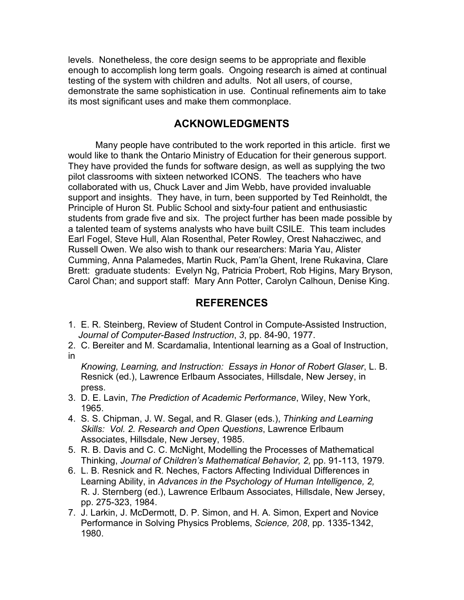levels. Nonetheless, the core design seems to be appropriate and flexible enough to accomplish long term goals. Ongoing research is aimed at continual testing of the system with children and adults. Not all users, of course, demonstrate the same sophistication in use. Continual refinements aim to take its most significant uses and make them commonplace.

## **ACKNOWLEDGMENTS**

Many people have contributed to the work reported in this article. first we would like to thank the Ontario Ministry of Education for their generous support. They have provided the funds for software design, as well as supplying the two pilot classrooms with sixteen networked ICONS. The teachers who have collaborated with us, Chuck Laver and Jim Webb, have provided invaluable support and insights. They have, in turn, been supported by Ted Reinholdt, the Principle of Huron St. Public School and sixty-four patient and enthusiastic students from grade five and six. The project further has been made possible by a talented team of systems analysts who have built CSILE. This team includes Earl Fogel, Steve Hull, Alan Rosenthal, Peter Rowley, Orest Nahacziwec, and Russell Owen. We also wish to thank our researchers: Maria Yau, Alister Cumming, Anna Palamedes, Martin Ruck, Pam'la Ghent, Irene Rukavina, Clare Brett: graduate students: Evelyn Ng, Patricia Probert, Rob Higins, Mary Bryson, Carol Chan; and support staff: Mary Ann Potter, Carolyn Calhoun, Denise King.

# **REFERENCES**

- 1. E. R. Steinberg, Review of Student Control in Compute-Assisted Instruction, *Journal of Computer-Based Instruction*, *3*, pp. 84-90, 1977.
- 2. C. Bereiter and M. Scardamalia, Intentional learning as a Goal of Instruction, in

*Knowing, Learning, and Instruction: Essays in Honor of Robert Glaser*, L. B. Resnick (ed.), Lawrence Erlbaum Associates, Hillsdale, New Jersey, in press.

- 3. D. E. Lavin, *The Prediction of Academic Performance*, Wiley, New York, 1965.
- 4. S. S. Chipman, J. W. Segal, and R. Glaser (eds.), *Thinking and Learning Skills: Vol. 2. Research and Open Questions*, Lawrence Erlbaum Associates, Hillsdale, New Jersey, 1985.
- 5. R. B. Davis and C. C. McNight, Modelling the Processes of Mathematical Thinking, *Journal of Children's Mathematical Behavior, 2,* pp. 91-113, 1979.
- 6. L. B. Resnick and R. Neches, Factors Affecting Individual Differences in Learning Ability, in *Advances in the Psychology of Human Intelligence, 2,* R. J. Sternberg (ed.), Lawrence Erlbaum Associates, Hillsdale, New Jersey, pp. 275-323, 1984.
- 7. J. Larkin, J. McDermott, D. P. Simon, and H. A. Simon, Expert and Novice Performance in Solving Physics Problems, *Science, 208*, pp. 1335-1342, 1980.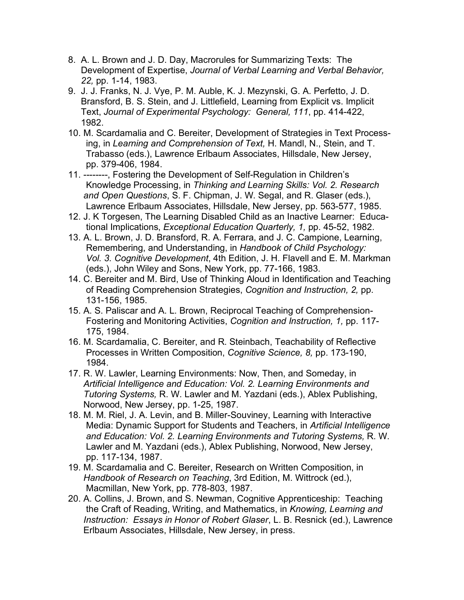- 8. A. L. Brown and J. D. Day, Macrorules for Summarizing Texts: The Development of Expertise, *Journal of Verbal Learning and Verbal Behavior, 22,* pp. 1-14, 1983.
- 9. J. J. Franks, N. J. Vye, P. M. Auble, K. J. Mezynski, G. A. Perfetto, J. D. Bransford, B. S. Stein, and J. Littlefield, Learning from Explicit vs. Implicit Text, *Journal of Experimental Psychology: General, 111*, pp. 414-422, 1982.
- 10. M. Scardamalia and C. Bereiter, Development of Strategies in Text Processing, in *Learning and Comprehension of Text,* H. Mandl, N., Stein, and T. Trabasso (eds.), Lawrence Erlbaum Associates, Hillsdale, New Jersey, pp. 379-406, 1984.
- 11. --------, Fostering the Development of Self-Regulation in Children's Knowledge Processing, in *Thinking and Learning Skills: Vol. 2. Research and Open Questions*, S. F. Chipman, J. W. Segal, and R. Glaser (eds.), Lawrence Erlbaum Associates, Hillsdale, New Jersey, pp. 563-577, 1985.
- 12. J. K Torgesen, The Learning Disabled Child as an Inactive Learner: Educational Implications, *Exceptional Education Quarterly, 1,* pp. 45-52, 1982.
- 13. A. L. Brown, J. D. Bransford, R. A. Ferrara, and J. C. Campione, Learning, Remembering, and Understanding, in *Handbook of Child Psychology: Vol. 3. Cognitive Development*, 4th Edition, J. H. Flavell and E. M. Markman (eds.), John Wiley and Sons, New York, pp. 77-166, 1983.
- 14. C. Bereiter and M. Bird, Use of Thinking Aloud in Identification and Teaching of Reading Comprehension Strategies, *Cognition and Instruction, 2,* pp. 131-156, 1985.
- 15. A. S. Paliscar and A. L. Brown, Reciprocal Teaching of Comprehension-Fostering and Monitoring Activities, *Cognition and Instruction, 1,* pp. 117- 175, 1984.
- 16. M. Scardamalia, C. Bereiter, and R. Steinbach, Teachability of Reflective Processes in Written Composition, *Cognitive Science, 8,* pp. 173-190, 1984.
- 17. R. W. Lawler, Learning Environments: Now, Then, and Someday, in *Artificial Intelligence and Education: Vol. 2. Learning Environments and Tutoring Systems,* R. W. Lawler and M. Yazdani (eds.), Ablex Publishing, Norwood, New Jersey, pp. 1-25, 1987.
- 18. M. M. Riel, J. A. Levin, and B. Miller-Souviney, Learning with Interactive Media: Dynamic Support for Students and Teachers, in *Artificial Intelligence and Education: Vol. 2. Learning Environments and Tutoring Systems,* R. W. Lawler and M. Yazdani (eds.), Ablex Publishing, Norwood, New Jersey, pp. 117-134, 1987.
- 19. M. Scardamalia and C. Bereiter, Research on Written Composition, in *Handbook of Research on Teaching*, 3rd Edition, M. Wittrock (ed.), Macmillan, New York, pp. 778-803, 1987.
- 20. A. Collins, J. Brown, and S. Newman, Cognitive Apprenticeship: Teaching the Craft of Reading, Writing, and Mathematics, in *Knowing, Learning and Instruction: Essays in Honor of Robert Glaser*, L. B. Resnick (ed.), Lawrence Erlbaum Associates, Hillsdale, New Jersey, in press.